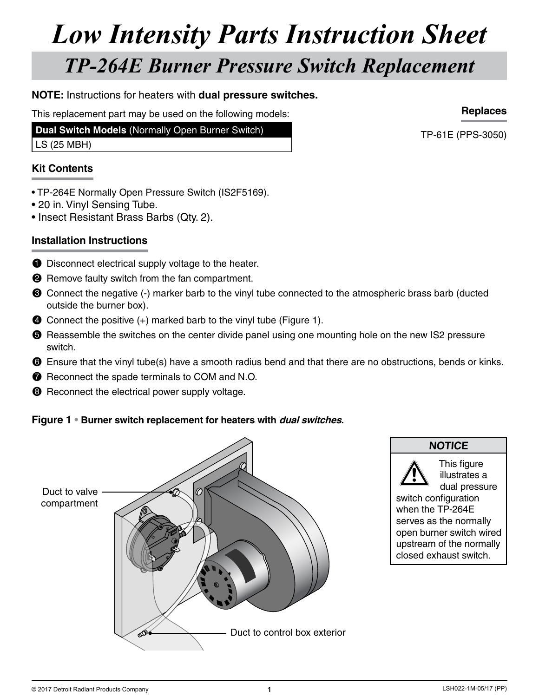## *Low Intensity Parts Instruction Sheet TP-264E Burner Pressure Switch Replacement*

#### **NOTE:** Instructions for heaters with **dual pressure switches.**

This replacement part may be used on the following models:

**Dual Switch Models** (Normally Open Burner Switch)

LS (25 MBH)

#### **Kit Contents**

- TP-264E Normally Open Pressure Switch (IS2F5169).
- 20 in. Vinyl Sensing Tube.
- Insect Resistant Brass Barbs (Qty. 2).

#### **Installation Instructions**

- **1** Disconnect electrical supply voltage to the heater.
- **2** Remove faulty switch from the fan compartment.
- <sup>3</sup> Connect the negative (-) marker barb to the vinyl tube connected to the atmospheric brass barb (ducted outside the burner box).
- **4** Connect the positive (+) marked barb to the vinyl tube (Figure 1).
- **6** Reassemble the switches on the center divide panel using one mounting hole on the new IS2 pressure switch.
- **6** Ensure that the vinyl tube(s) have a smooth radius bend and that there are no obstructions, bends or kinks.
- **•** Reconnect the spade terminals to COM and N.O.
- **8** Reconnect the electrical power supply voltage.

#### **Figure 1 • Burner switch replacement for heaters with dual switches.**



### **NOTICE**

This figure illustrates a dual pressure

switch configuration when the TP-264E serves as the normally open burner switch wired upstream of the normally closed exhaust switch.

**Replaces**

TP-61E (PPS-3050)